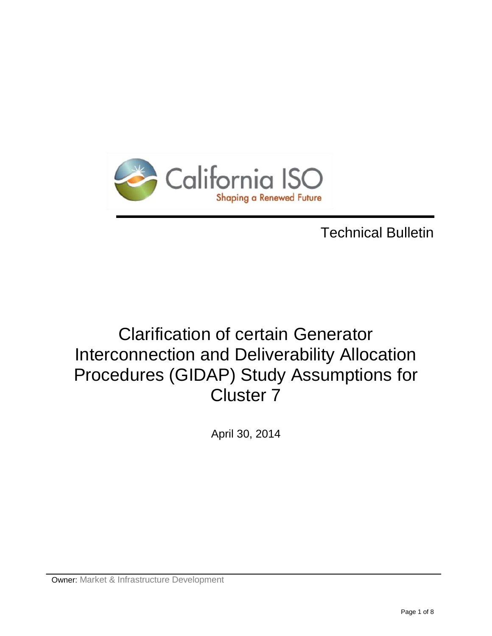

# Technical Bulletin

# Clarification of certain Generator Interconnection and Deliverability Allocation Procedures (GIDAP) Study Assumptions for Cluster 7

April 30, 2014

Owner: Market & Infrastructure Development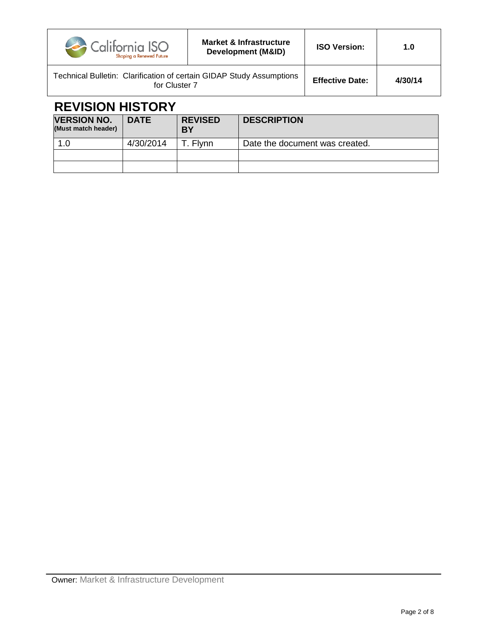| California ISO<br>Shaping a Renewed Future                                            | <b>Market &amp; Infrastructure</b><br>Development (M&ID) | <b>ISO Version:</b>    | 1.0     |
|---------------------------------------------------------------------------------------|----------------------------------------------------------|------------------------|---------|
| Technical Bulletin: Clarification of certain GIDAP Study Assumptions<br>for Cluster 7 |                                                          | <b>Effective Date:</b> | 4/30/14 |

## **REVISION HISTORY**

| <b>VERSION NO.</b><br>(Must match header) | <b>DATE</b> | <b>REVISED</b><br>BY | <b>DESCRIPTION</b>             |
|-------------------------------------------|-------------|----------------------|--------------------------------|
| 1.0                                       | 4/30/2014   | Г. Flvnn             | Date the document was created. |
|                                           |             |                      |                                |
|                                           |             |                      |                                |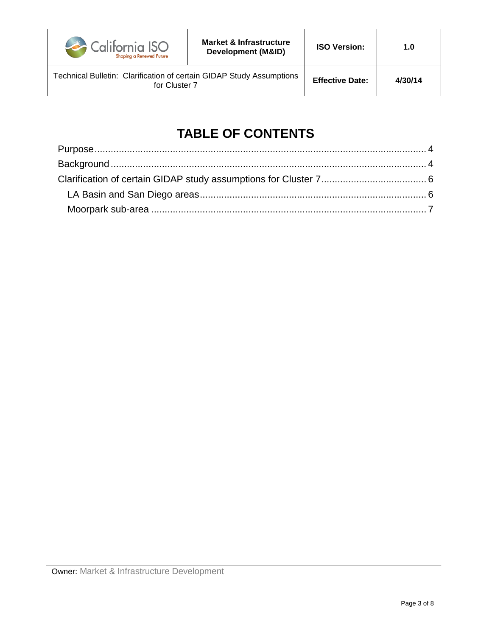

Technical Bulletin: Clarification of certain GIDAP Study Assumptions for Cluster 7 **Effective Date: 4/30/14**

## **TABLE OF CONTENTS**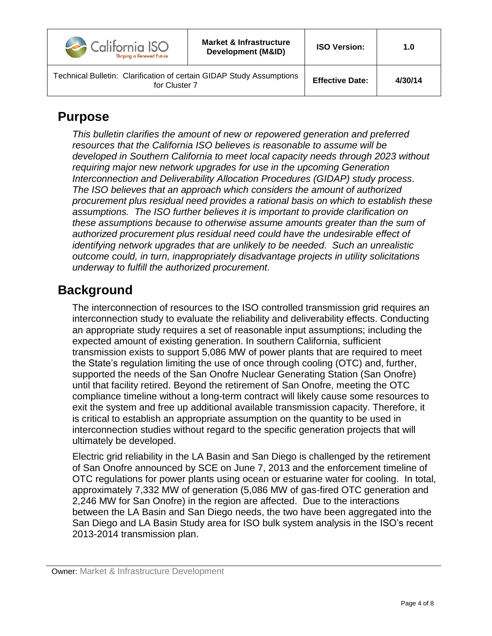| California ISO<br>Shaping a Renewed Future                                            | Market & Infrastructure<br>Development (M&ID) | <b>ISO Version:</b>    | 1.0     |
|---------------------------------------------------------------------------------------|-----------------------------------------------|------------------------|---------|
| Technical Bulletin: Clarification of certain GIDAP Study Assumptions<br>for Cluster 7 |                                               | <b>Effective Date:</b> | 4/30/14 |

#### <span id="page-3-0"></span>**Purpose**

*This bulletin clarifies the amount of new or repowered generation and preferred resources that the California ISO believes is reasonable to assume will be developed in Southern California to meet local capacity needs through 2023 without requiring major new network upgrades for use in the upcoming Generation Interconnection and Deliverability Allocation Procedures (GIDAP) study process. The ISO believes that an approach which considers the amount of authorized procurement plus residual need provides a rational basis on which to establish these assumptions. The ISO further believes it is important to provide clarification on these assumptions because to otherwise assume amounts greater than the sum of authorized procurement plus residual need could have the undesirable effect of identifying network upgrades that are unlikely to be needed. Such an unrealistic outcome could, in turn, inappropriately disadvantage projects in utility solicitations underway to fulfill the authorized procurement.* 

## <span id="page-3-1"></span>**Background**

The interconnection of resources to the ISO controlled transmission grid requires an interconnection study to evaluate the reliability and deliverability effects. Conducting an appropriate study requires a set of reasonable input assumptions; including the expected amount of existing generation. In southern California, sufficient transmission exists to support 5,086 MW of power plants that are required to meet the State's regulation limiting the use of once through cooling (OTC) and, further, supported the needs of the San Onofre Nuclear Generating Station (San Onofre) until that facility retired. Beyond the retirement of San Onofre, meeting the OTC compliance timeline without a long-term contract will likely cause some resources to exit the system and free up additional available transmission capacity. Therefore, it is critical to establish an appropriate assumption on the quantity to be used in interconnection studies without regard to the specific generation projects that will ultimately be developed.

Electric grid reliability in the LA Basin and San Diego is challenged by the retirement of San Onofre announced by SCE on June 7, 2013 and the enforcement timeline of OTC regulations for power plants using ocean or estuarine water for cooling. In total, approximately 7,332 MW of generation (5,086 MW of gas-fired OTC generation and 2,246 MW for San Onofre) in the region are affected. Due to the interactions between the LA Basin and San Diego needs, the two have been aggregated into the San Diego and LA Basin Study area for ISO bulk system analysis in the ISO's recent 2013-2014 transmission plan.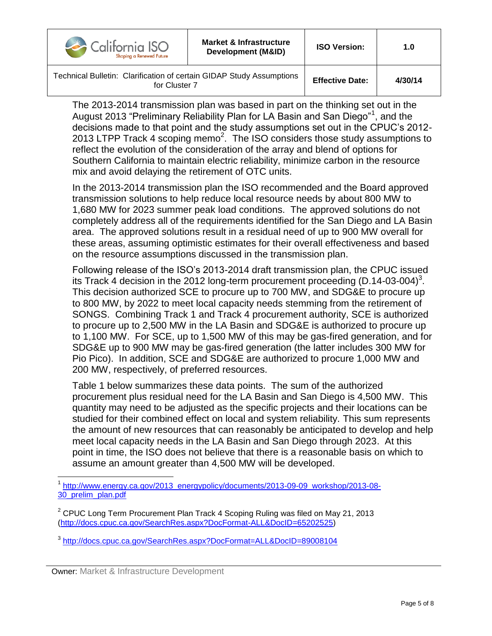| California ISO<br>Shaping a Renewed Future                                            | <b>Market &amp; Infrastructure</b><br>Development (M&ID) | <b>ISO Version:</b>    | 1.0     |
|---------------------------------------------------------------------------------------|----------------------------------------------------------|------------------------|---------|
| Technical Bulletin: Clarification of certain GIDAP Study Assumptions<br>for Cluster 7 |                                                          | <b>Effective Date:</b> | 4/30/14 |

The 2013-2014 transmission plan was based in part on the thinking set out in the August 2013 "Preliminary Reliability Plan for LA Basin and San Diego"<sup>1</sup>, and the decisions made to that point and the study assumptions set out in the CPUC's 2012- 2013 LTPP Track 4 scoping memo<sup>2</sup>. The ISO considers those study assumptions to reflect the evolution of the consideration of the array and blend of options for Southern California to maintain electric reliability, minimize carbon in the resource mix and avoid delaying the retirement of OTC units.

In the 2013-2014 transmission plan the ISO recommended and the Board approved transmission solutions to help reduce local resource needs by about 800 MW to 1,680 MW for 2023 summer peak load conditions. The approved solutions do not completely address all of the requirements identified for the San Diego and LA Basin area. The approved solutions result in a residual need of up to 900 MW overall for these areas, assuming optimistic estimates for their overall effectiveness and based on the resource assumptions discussed in the transmission plan.

Following release of the ISO's 2013-2014 draft transmission plan, the CPUC issued its Track 4 decision in the 2012 long-term procurement proceeding (D.14-03-004)<sup>3</sup>. This decision authorized SCE to procure up to 700 MW, and SDG&E to procure up to 800 MW, by 2022 to meet local capacity needs stemming from the retirement of SONGS. Combining Track 1 and Track 4 procurement authority, SCE is authorized to procure up to 2,500 MW in the LA Basin and SDG&E is authorized to procure up to 1,100 MW. For SCE, up to 1,500 MW of this may be gas-fired generation, and for SDG&E up to 900 MW may be gas-fired generation (the latter includes 300 MW for Pio Pico). In addition, SCE and SDG&E are authorized to procure 1,000 MW and 200 MW, respectively, of preferred resources.

Table 1 below summarizes these data points. The sum of the authorized procurement plus residual need for the LA Basin and San Diego is 4,500 MW. This quantity may need to be adjusted as the specific projects and their locations can be studied for their combined effect on local and system reliability. This sum represents the amount of new resources that can reasonably be anticipated to develop and help meet local capacity needs in the LA Basin and San Diego through 2023. At this point in time, the ISO does not believe that there is a reasonable basis on which to assume an amount greater than 4,500 MW will be developed.

 $\overline{a}$ <sup>1</sup> [http://www.energy.ca.gov/2013\\_energypolicy/documents/2013-09-09\\_workshop/2013-08-](http://www.energy.ca.gov/2013_energypolicy/documents/2013-09-09_workshop/2013-08-30_prelim_plan.pdf) [30\\_prelim\\_plan.pdf](http://www.energy.ca.gov/2013_energypolicy/documents/2013-09-09_workshop/2013-08-30_prelim_plan.pdf)

<sup>&</sup>lt;sup>2</sup> CPUC Long Term Procurement Plan Track 4 Scoping Ruling was filed on May 21, 2013 [\(http://docs.cpuc.ca.gov/SearchRes.aspx?DocFormat-ALL&DocID=65202525\)](http://docs.cpuc.ca.gov/SearchRes.aspx?DocFormat-ALL&DocID=65202525)

<sup>3</sup> <http://docs.cpuc.ca.gov/SearchRes.aspx?DocFormat=ALL&DocID=89008104>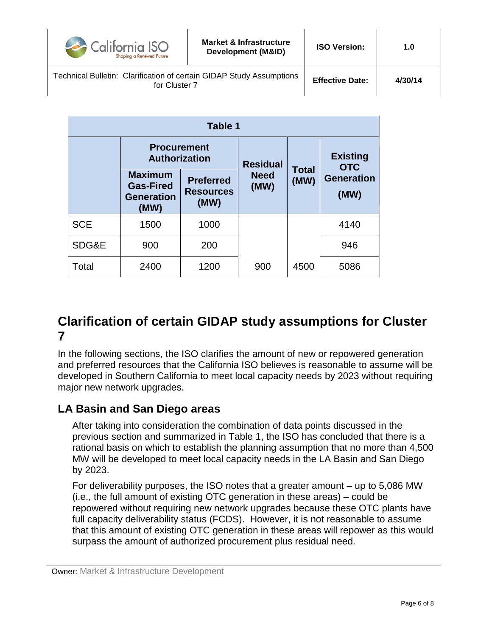| California ISO<br>Shaping a Renewed Future                                            | <b>Market &amp; Infrastructure</b><br>Development (M&ID) | <b>ISO Version:</b>    | 1.0     |
|---------------------------------------------------------------------------------------|----------------------------------------------------------|------------------------|---------|
| Technical Bulletin: Clarification of certain GIDAP Study Assumptions<br>for Cluster 7 |                                                          | <b>Effective Date:</b> | 4/30/14 |

| Table 1    |                                                                 |                                              |                     |                      |                               |
|------------|-----------------------------------------------------------------|----------------------------------------------|---------------------|----------------------|-------------------------------|
|            | <b>Procurement</b><br><b>Authorization</b>                      |                                              | <b>Residual</b>     |                      | <b>Existing</b><br><b>OTC</b> |
|            | <b>Maximum</b><br><b>Gas-Fired</b><br><b>Generation</b><br>(MW) | <b>Preferred</b><br><b>Resources</b><br>(MW) | <b>Need</b><br>(MW) | <b>Total</b><br>(MW) | <b>Generation</b><br>(MW)     |
| <b>SCE</b> | 1500                                                            | 1000                                         |                     |                      | 4140                          |
| SDG&E      | 900                                                             | 200                                          |                     |                      | 946                           |
| Total      | 2400                                                            | 1200                                         | 900                 | 4500                 | 5086                          |

## <span id="page-5-0"></span>**Clarification of certain GIDAP study assumptions for Cluster 7**

In the following sections, the ISO clarifies the amount of new or repowered generation and preferred resources that the California ISO believes is reasonable to assume will be developed in Southern California to meet local capacity needs by 2023 without requiring major new network upgrades.

#### <span id="page-5-1"></span>**LA Basin and San Diego areas**

After taking into consideration the combination of data points discussed in the previous section and summarized in Table 1, the ISO has concluded that there is a rational basis on which to establish the planning assumption that no more than 4,500 MW will be developed to meet local capacity needs in the LA Basin and San Diego by 2023.

For deliverability purposes, the ISO notes that a greater amount – up to 5,086 MW (i.e., the full amount of existing OTC generation in these areas) – could be repowered without requiring new network upgrades because these OTC plants have full capacity deliverability status (FCDS). However, it is not reasonable to assume that this amount of existing OTC generation in these areas will repower as this would surpass the amount of authorized procurement plus residual need.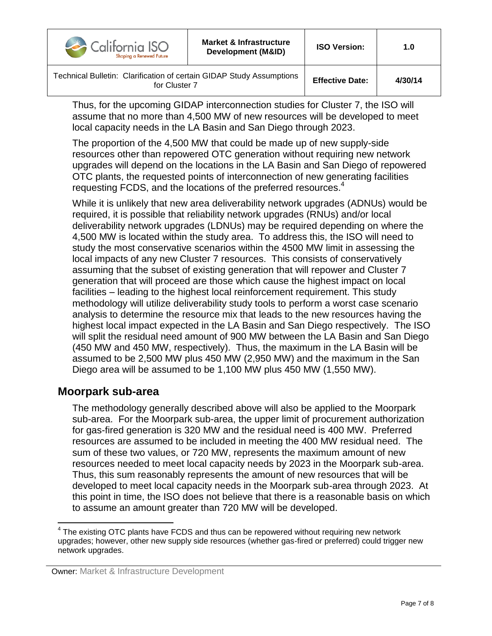| $\rightarrow$ California ISO<br>Shaping a Renewed Future                              | <b>Market &amp; Infrastructure</b><br>Development (M&ID) | <b>ISO Version:</b>    | 1.0     |
|---------------------------------------------------------------------------------------|----------------------------------------------------------|------------------------|---------|
| Technical Bulletin: Clarification of certain GIDAP Study Assumptions<br>for Cluster 7 |                                                          | <b>Effective Date:</b> | 4/30/14 |

Thus, for the upcoming GIDAP interconnection studies for Cluster 7, the ISO will assume that no more than 4,500 MW of new resources will be developed to meet local capacity needs in the LA Basin and San Diego through 2023.

The proportion of the 4,500 MW that could be made up of new supply-side resources other than repowered OTC generation without requiring new network upgrades will depend on the locations in the LA Basin and San Diego of repowered OTC plants, the requested points of interconnection of new generating facilities requesting FCDS, and the locations of the preferred resources. 4

While it is unlikely that new area deliverability network upgrades (ADNUs) would be required, it is possible that reliability network upgrades (RNUs) and/or local deliverability network upgrades (LDNUs) may be required depending on where the 4,500 MW is located within the study area. To address this, the ISO will need to study the most conservative scenarios within the 4500 MW limit in assessing the local impacts of any new Cluster 7 resources. This consists of conservatively assuming that the subset of existing generation that will repower and Cluster 7 generation that will proceed are those which cause the highest impact on local facilities – leading to the highest local reinforcement requirement. This study methodology will utilize deliverability study tools to perform a worst case scenario analysis to determine the resource mix that leads to the new resources having the highest local impact expected in the LA Basin and San Diego respectively. The ISO will split the residual need amount of 900 MW between the LA Basin and San Diego (450 MW and 450 MW, respectively). Thus, the maximum in the LA Basin will be assumed to be 2,500 MW plus 450 MW (2,950 MW) and the maximum in the San Diego area will be assumed to be 1,100 MW plus 450 MW (1,550 MW).

#### <span id="page-6-0"></span>**Moorpark sub-area**

The methodology generally described above will also be applied to the Moorpark sub-area. For the Moorpark sub-area, the upper limit of procurement authorization for gas-fired generation is 320 MW and the residual need is 400 MW. Preferred resources are assumed to be included in meeting the 400 MW residual need. The sum of these two values, or 720 MW, represents the maximum amount of new resources needed to meet local capacity needs by 2023 in the Moorpark sub-area. Thus, this sum reasonably represents the amount of new resources that will be developed to meet local capacity needs in the Moorpark sub-area through 2023. At this point in time, the ISO does not believe that there is a reasonable basis on which to assume an amount greater than 720 MW will be developed.

<sup>————————————————————&</sup>lt;br><sup>4</sup> The existing OTC plants have FCDS and thus can be repowered without requiring new network upgrades; however, other new supply side resources (whether gas-fired or preferred) could trigger new network upgrades.